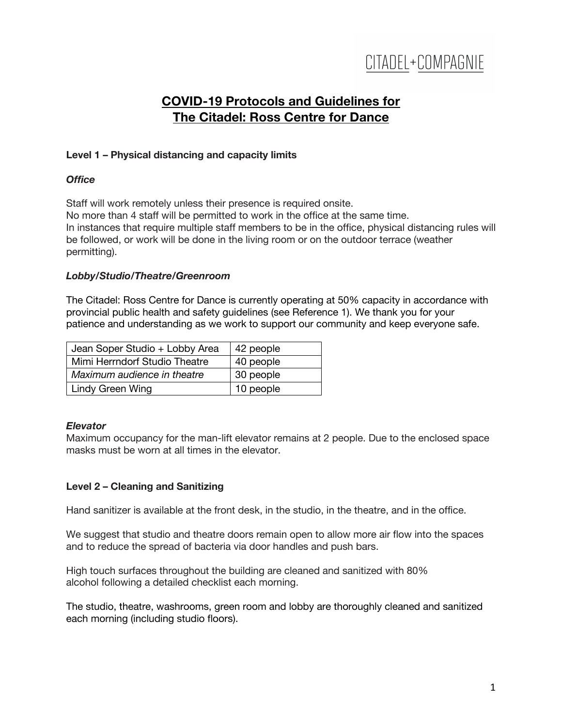# CITADEL+COMPAGNIE

# **COVID-19 Protocols and Guidelines for The Citadel: Ross Centre for Dance**

## **Level 1 – Physical distancing and capacity limits**

### *Office*

Staff will work remotely unless their presence is required onsite. No more than 4 staff will be permitted to work in the office at the same time. In instances that require multiple staff members to be in the office, physical distancing rules will be followed, or work will be done in the living room or on the outdoor terrace (weather permitting).

### *Lobby/Studio/Theatre/Greenroom*

The Citadel: Ross Centre for Dance is currently operating at 50% capacity in accordance with provincial public health and safety guidelines (see Reference 1). We thank you for your patience and understanding as we work to support our community and keep everyone safe.

| Jean Soper Studio + Lobby Area | 42 people |
|--------------------------------|-----------|
| Mimi Herrndorf Studio Theatre  | 40 people |
| Maximum audience in theatre    | 30 people |
| Lindy Green Wing               | 10 people |

### *Elevator*

Maximum occupancy for the man-lift elevator remains at 2 people. Due to the enclosed space masks must be worn at all times in the elevator.

### **Level 2 – Cleaning and Sanitizing**

Hand sanitizer is available at the front desk, in the studio, in the theatre, and in the office.

We suggest that studio and theatre doors remain open to allow more air flow into the spaces and to reduce the spread of bacteria via door handles and push bars.

High touch surfaces throughout the building are cleaned and sanitized with 80% alcohol following a detailed checklist each morning.

The studio, theatre, washrooms, green room and lobby are thoroughly cleaned and sanitized each morning (including studio floors).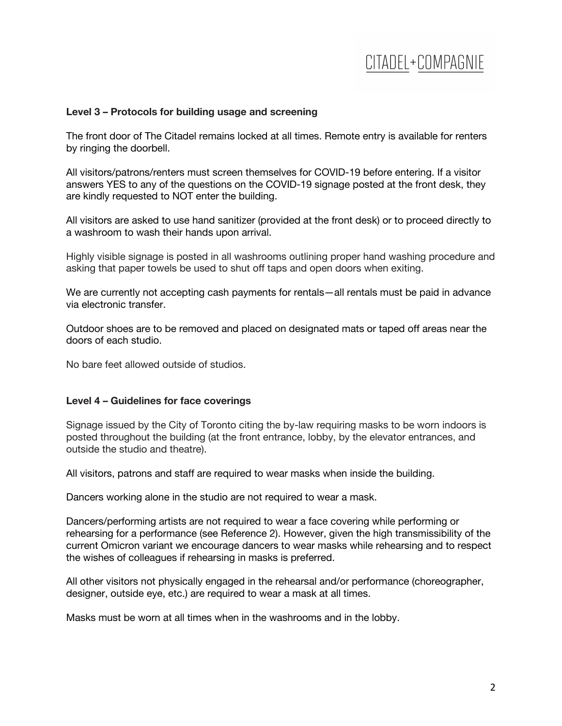# CITADEL+COMPAGNIE

### **Level 3 – Protocols for building usage and screening**

The front door of The Citadel remains locked at all times. Remote entry is available for renters by ringing the doorbell.

All visitors/patrons/renters must screen themselves for COVID-19 before entering. If a visitor answers YES to any of the questions on the COVID-19 signage posted at the front desk, they are kindly requested to NOT enter the building.

All visitors are asked to use hand sanitizer (provided at the front desk) or to proceed directly to a washroom to wash their hands upon arrival.

Highly visible signage is posted in all washrooms outlining proper hand washing procedure and asking that paper towels be used to shut off taps and open doors when exiting.

We are currently not accepting cash payments for rentals—all rentals must be paid in advance via electronic transfer.

Outdoor shoes are to be removed and placed on designated mats or taped off areas near the doors of each studio.

No bare feet allowed outside of studios.

#### **Level 4 – Guidelines for face coverings**

Signage issued by the City of Toronto citing the by-law requiring masks to be worn indoors is posted throughout the building (at the front entrance, lobby, by the elevator entrances, and outside the studio and theatre).

All visitors, patrons and staff are required to wear masks when inside the building.

Dancers working alone in the studio are not required to wear a mask.

Dancers/performing artists are not required to wear a face covering while performing or rehearsing for a performance (see Reference 2). However, given the high transmissibility of the current Omicron variant we encourage dancers to wear masks while rehearsing and to respect the wishes of colleagues if rehearsing in masks is preferred.

All other visitors not physically engaged in the rehearsal and/or performance (choreographer, designer, outside eye, etc.) are required to wear a mask at all times.

Masks must be worn at all times when in the washrooms and in the lobby.